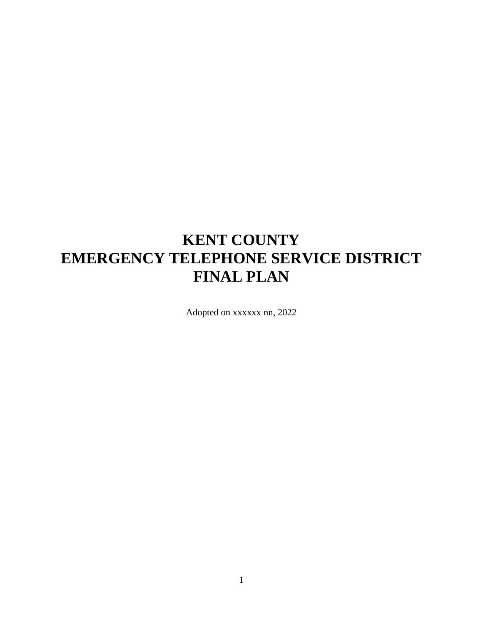## **KENT COUNTY EMERGENCY TELEPHONE SERVICE DISTRICT FINAL PLAN**

Adopted on xxxxxx nn, 2022

1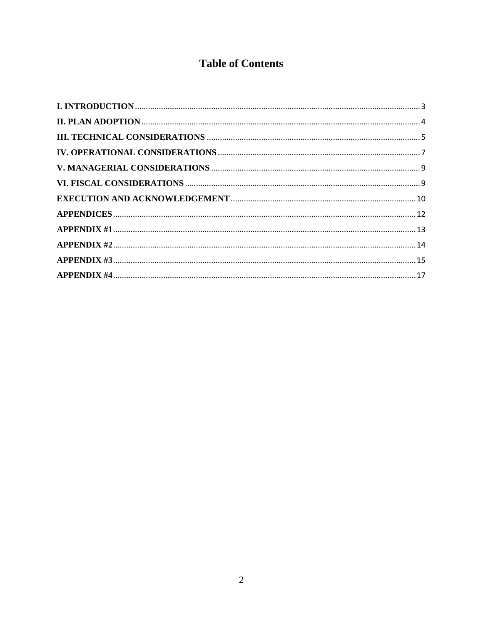### **Table of Contents**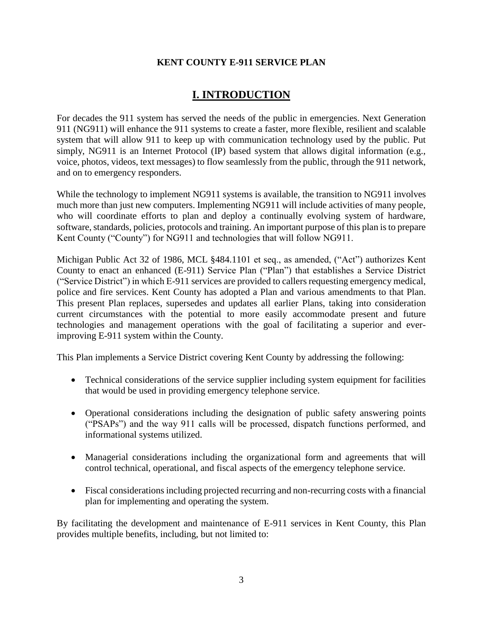### **KENT COUNTY E-911 SERVICE PLAN**

### **I. INTRODUCTION**

<span id="page-2-0"></span>For decades the 911 system has served the needs of the public in emergencies. Next Generation 911 (NG911) will enhance the 911 systems to create a faster, more flexible, resilient and scalable system that will allow 911 to keep up with communication technology used by the public. Put simply, NG911 is an Internet Protocol (IP) based system that allows digital information (e.g., voice, photos, videos, text messages) to flow seamlessly from the public, through the 911 network, and on to emergency responders.

While the technology to implement NG911 systems is available, the transition to NG911 involves much more than just new computers. Implementing NG911 will include activities of many people, who will coordinate efforts to plan and deploy a continually evolving system of hardware, software, standards, policies, protocols and training. An important purpose of this plan is to prepare Kent County ("County") for NG911 and technologies that will follow NG911.

Michigan Public Act 32 of 1986, MCL §484.1101 et seq., as amended, ("Act") authorizes Kent County to enact an enhanced (E-911) Service Plan ("Plan") that establishes a Service District ("Service District") in which E-911 services are provided to callers requesting emergency medical, police and fire services. Kent County has adopted a Plan and various amendments to that Plan. This present Plan replaces, supersedes and updates all earlier Plans, taking into consideration current circumstances with the potential to more easily accommodate present and future technologies and management operations with the goal of facilitating a superior and everimproving E-911 system within the County.

This Plan implements a Service District covering Kent County by addressing the following:

- Technical considerations of the service supplier including system equipment for facilities that would be used in providing emergency telephone service.
- Operational considerations including the designation of public safety answering points ("PSAPs") and the way 911 calls will be processed, dispatch functions performed, and informational systems utilized.
- Managerial considerations including the organizational form and agreements that will control technical, operational, and fiscal aspects of the emergency telephone service.
- Fiscal considerations including projected recurring and non-recurring costs with a financial plan for implementing and operating the system.

By facilitating the development and maintenance of E-911 services in Kent County, this Plan provides multiple benefits, including, but not limited to: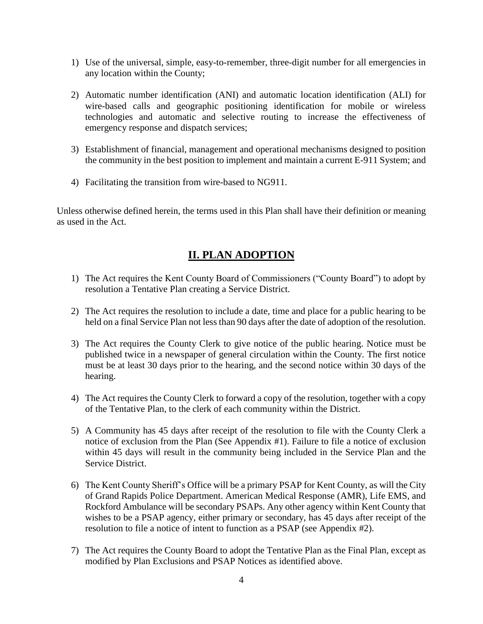- 1) Use of the universal, simple, easy-to-remember, three-digit number for all emergencies in any location within the County;
- 2) Automatic number identification (ANI) and automatic location identification (ALI) for wire-based calls and geographic positioning identification for mobile or wireless technologies and automatic and selective routing to increase the effectiveness of emergency response and dispatch services;
- 3) Establishment of financial, management and operational mechanisms designed to position the community in the best position to implement and maintain a current E-911 System; and
- 4) Facilitating the transition from wire-based to NG911.

Unless otherwise defined herein, the terms used in this Plan shall have their definition or meaning as used in the Act.

### **II. PLAN ADOPTION**

- <span id="page-3-0"></span>1) The Act requires the Kent County Board of Commissioners ("County Board") to adopt by resolution a Tentative Plan creating a Service District.
- 2) The Act requires the resolution to include a date, time and place for a public hearing to be held on a final Service Plan not less than 90 days after the date of adoption of the resolution.
- 3) The Act requires the County Clerk to give notice of the public hearing. Notice must be published twice in a newspaper of general circulation within the County. The first notice must be at least 30 days prior to the hearing, and the second notice within 30 days of the hearing.
- 4) The Act requires the County Clerk to forward a copy of the resolution, together with a copy of the Tentative Plan, to the clerk of each community within the District.
- 5) A Community has 45 days after receipt of the resolution to file with the County Clerk a notice of exclusion from the Plan (See Appendix #1). Failure to file a notice of exclusion within 45 days will result in the community being included in the Service Plan and the Service District.
- 6) The Kent County Sheriff's Office will be a primary PSAP for Kent County, as will the City of Grand Rapids Police Department. American Medical Response (AMR), Life EMS, and Rockford Ambulance will be secondary PSAPs. Any other agency within Kent County that wishes to be a PSAP agency, either primary or secondary, has 45 days after receipt of the resolution to file a notice of intent to function as a PSAP (see Appendix #2).
- 7) The Act requires the County Board to adopt the Tentative Plan as the Final Plan, except as modified by Plan Exclusions and PSAP Notices as identified above.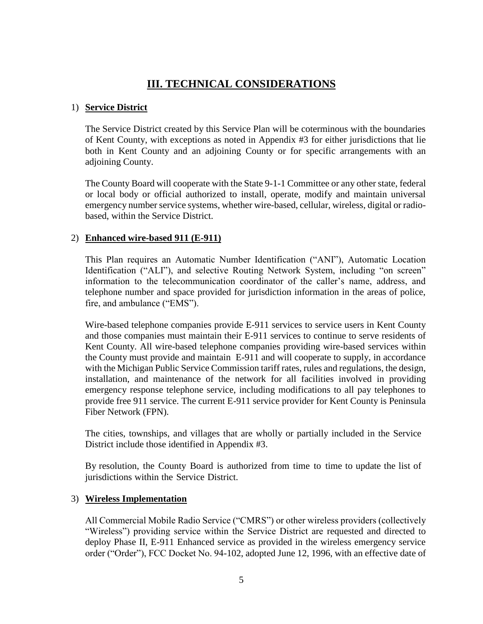### **III. TECHNICAL CONSIDERATIONS**

### <span id="page-4-0"></span>1) **Service District**

The Service District created by this Service Plan will be coterminous with the boundaries of Kent County, with exceptions as noted in Appendix #3 for either jurisdictions that lie both in Kent County and an adjoining County or for specific arrangements with an adjoining County.

The County Board will cooperate with the State 9-1-1 Committee or any other state, federal or local body or official authorized to install, operate, modify and maintain universal emergency number service systems, whether wire-based, cellular, wireless, digital or radiobased, within the Service District.

### 2) **Enhanced wire-based 911 (E-911)**

This Plan requires an Automatic Number Identification ("ANI"), Automatic Location Identification ("ALI"), and selective Routing Network System, including "on screen" information to the telecommunication coordinator of the caller's name, address, and telephone number and space provided for jurisdiction information in the areas of police, fire, and ambulance ("EMS").

Wire-based telephone companies provide E-911 services to service users in Kent County and those companies must maintain their E-911 services to continue to serve residents of Kent County. All wire-based telephone companies providing wire-based services within the County must provide and maintain E-911 and will cooperate to supply, in accordance with the Michigan Public Service Commission tariff rates, rules and regulations, the design, installation, and maintenance of the network for all facilities involved in providing emergency response telephone service, including modifications to all pay telephones to provide free 911 service. The current E-911 service provider for Kent County is Peninsula Fiber Network (FPN).

The cities, townships, and villages that are wholly or partially included in the Service District include those identified in Appendix #3.

By resolution, the County Board is authorized from time to time to update the list of jurisdictions within the Service District.

### 3) **Wireless Implementation**

All Commercial Mobile Radio Service ("CMRS") or other wireless providers (collectively "Wireless") providing service within the Service District are requested and directed to deploy Phase II, E-911 Enhanced service as provided in the wireless emergency service order ("Order"), FCC Docket No. 94-102, adopted June 12, 1996, with an effective date of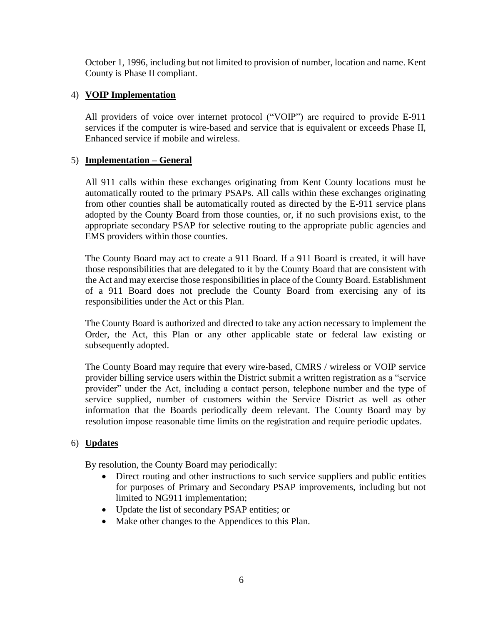October 1, 1996, including but not limited to provision of number, location and name. Kent County is Phase II compliant.

### 4) **VOIP Implementation**

All providers of voice over internet protocol ("VOIP") are required to provide E-911 services if the computer is wire-based and service that is equivalent or exceeds Phase II, Enhanced service if mobile and wireless.

### 5) **Implementation – General**

All 911 calls within these exchanges originating from Kent County locations must be automatically routed to the primary PSAPs. All calls within these exchanges originating from other counties shall be automatically routed as directed by the E-911 service plans adopted by the County Board from those counties, or, if no such provisions exist, to the appropriate secondary PSAP for selective routing to the appropriate public agencies and EMS providers within those counties.

The County Board may act to create a 911 Board. If a 911 Board is created, it will have those responsibilities that are delegated to it by the County Board that are consistent with the Act and may exercise those responsibilities in place of the County Board. Establishment of a 911 Board does not preclude the County Board from exercising any of its responsibilities under the Act or this Plan.

The County Board is authorized and directed to take any action necessary to implement the Order, the Act, this Plan or any other applicable state or federal law existing or subsequently adopted.

The County Board may require that every wire-based, CMRS / wireless or VOIP service provider billing service users within the District submit a written registration as a "service provider" under the Act, including a contact person, telephone number and the type of service supplied, number of customers within the Service District as well as other information that the Boards periodically deem relevant. The County Board may by resolution impose reasonable time limits on the registration and require periodic updates.

### 6) **Updates**

By resolution, the County Board may periodically:

- Direct routing and other instructions to such service suppliers and public entities for purposes of Primary and Secondary PSAP improvements, including but not limited to NG911 implementation;
- Update the list of secondary PSAP entities; or
- Make other changes to the Appendices to this Plan.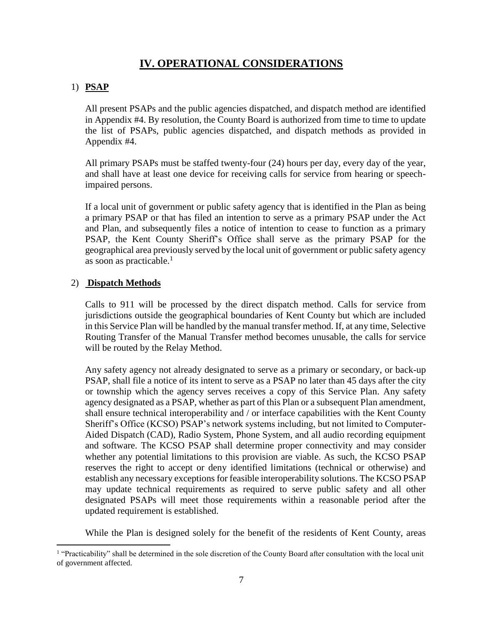### **IV. OPERATIONAL CONSIDERATIONS**

### <span id="page-6-0"></span>1) **PSAP**

All present PSAPs and the public agencies dispatched, and dispatch method are identified in Appendix #4. By resolution, the County Board is authorized from time to time to update the list of PSAPs, public agencies dispatched, and dispatch methods as provided in Appendix #4.

All primary PSAPs must be staffed twenty-four (24) hours per day, every day of the year, and shall have at least one device for receiving calls for service from hearing or speechimpaired persons.

If a local unit of government or public safety agency that is identified in the Plan as being a primary PSAP or that has filed an intention to serve as a primary PSAP under the Act and Plan, and subsequently files a notice of intention to cease to function as a primary PSAP, the Kent County Sheriff's Office shall serve as the primary PSAP for the geographical area previously served by the local unit of government or public safety agency as soon as practicable. $<sup>1</sup>$ </sup>

### 2) **Dispatch Methods**

 $\overline{a}$ 

Calls to 911 will be processed by the direct dispatch method. Calls for service from jurisdictions outside the geographical boundaries of Kent County but which are included in this Service Plan will be handled by the manual transfer method. If, at any time, Selective Routing Transfer of the Manual Transfer method becomes unusable, the calls for service will be routed by the Relay Method.

Any safety agency not already designated to serve as a primary or secondary, or back-up PSAP, shall file a notice of its intent to serve as a PSAP no later than 45 days after the city or township which the agency serves receives a copy of this Service Plan. Any safety agency designated as a PSAP, whether as part of this Plan or a subsequent Plan amendment, shall ensure technical interoperability and / or interface capabilities with the Kent County Sheriff's Office (KCSO) PSAP's network systems including, but not limited to Computer-Aided Dispatch (CAD), Radio System, Phone System, and all audio recording equipment and software. The KCSO PSAP shall determine proper connectivity and may consider whether any potential limitations to this provision are viable. As such, the KCSO PSAP reserves the right to accept or deny identified limitations (technical or otherwise) and establish any necessary exceptions for feasible interoperability solutions. The KCSO PSAP may update technical requirements as required to serve public safety and all other designated PSAPs will meet those requirements within a reasonable period after the updated requirement is established.

While the Plan is designed solely for the benefit of the residents of Kent County, areas

<sup>&</sup>lt;sup>1</sup> "Practicability" shall be determined in the sole discretion of the County Board after consultation with the local unit of government affected.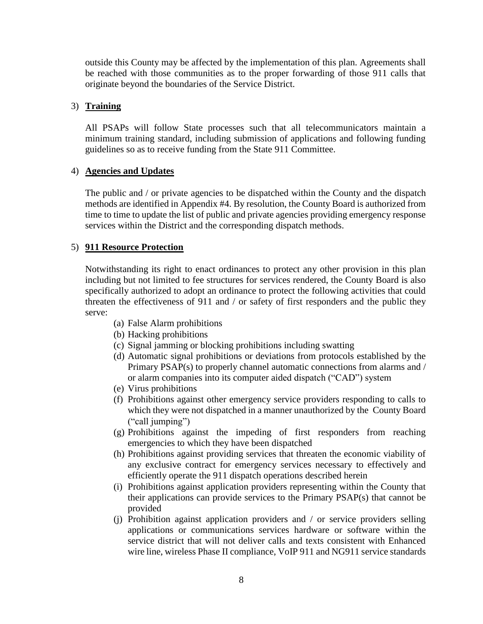outside this County may be affected by the implementation of this plan. Agreements shall be reached with those communities as to the proper forwarding of those 911 calls that originate beyond the boundaries of the Service District.

### 3) **Training**

All PSAPs will follow State processes such that all telecommunicators maintain a minimum training standard, including submission of applications and following funding guidelines so as to receive funding from the State 911 Committee.

### 4) **Agencies and Updates**

The public and / or private agencies to be dispatched within the County and the dispatch methods are identified in Appendix #4. By resolution, the County Board is authorized from time to time to update the list of public and private agencies providing emergency response services within the District and the corresponding dispatch methods.

### 5) **911 Resource Protection**

Notwithstanding its right to enact ordinances to protect any other provision in this plan including but not limited to fee structures for services rendered, the County Board is also specifically authorized to adopt an ordinance to protect the following activities that could threaten the effectiveness of 911 and / or safety of first responders and the public they serve:

- (a) False Alarm prohibitions
- (b) Hacking prohibitions
- (c) Signal jamming or blocking prohibitions including swatting
- (d) Automatic signal prohibitions or deviations from protocols established by the Primary PSAP(s) to properly channel automatic connections from alarms and / or alarm companies into its computer aided dispatch ("CAD") system
- (e) Virus prohibitions
- (f) Prohibitions against other emergency service providers responding to calls to which they were not dispatched in a manner unauthorized by the County Board ("call jumping")
- (g) Prohibitions against the impeding of first responders from reaching emergencies to which they have been dispatched
- (h) Prohibitions against providing services that threaten the economic viability of any exclusive contract for emergency services necessary to effectively and efficiently operate the 911 dispatch operations described herein
- (i) Prohibitions against application providers representing within the County that their applications can provide services to the Primary PSAP(s) that cannot be provided
- (j) Prohibition against application providers and / or service providers selling applications or communications services hardware or software within the service district that will not deliver calls and texts consistent with Enhanced wire line, wireless Phase II compliance, VoIP 911 and NG911 service standards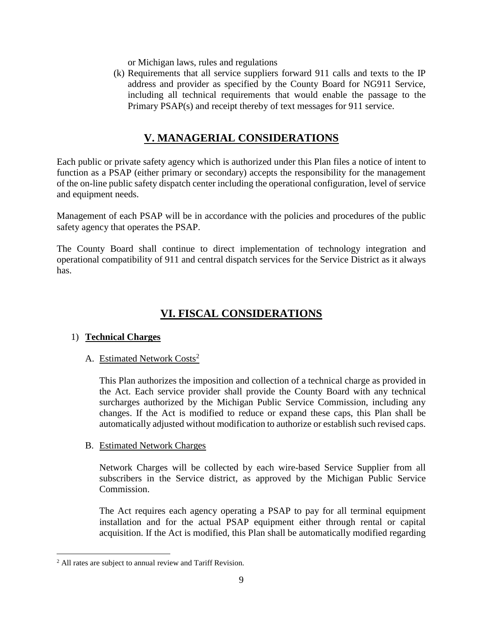or Michigan laws, rules and regulations

(k) Requirements that all service suppliers forward 911 calls and texts to the IP address and provider as specified by the County Board for NG911 Service, including all technical requirements that would enable the passage to the Primary PSAP(s) and receipt thereby of text messages for 911 service.

### **V. MANAGERIAL CONSIDERATIONS**

<span id="page-8-0"></span>Each public or private safety agency which is authorized under this Plan files a notice of intent to function as a PSAP (either primary or secondary) accepts the responsibility for the management of the on-line public safety dispatch center including the operational configuration, level of service and equipment needs.

Management of each PSAP will be in accordance with the policies and procedures of the public safety agency that operates the PSAP.

The County Board shall continue to direct implementation of technology integration and operational compatibility of 911 and central dispatch services for the Service District as it always has.

### **VI. FISCAL CONSIDERATIONS**

### <span id="page-8-1"></span>1) **Technical Charges**

### A. Estimated Network Costs<sup>2</sup>

This Plan authorizes the imposition and collection of a technical charge as provided in the Act. Each service provider shall provide the County Board with any technical surcharges authorized by the Michigan Public Service Commission, including any changes. If the Act is modified to reduce or expand these caps, this Plan shall be automatically adjusted without modification to authorize or establish such revised caps.

### B. Estimated Network Charges

Network Charges will be collected by each wire-based Service Supplier from all subscribers in the Service district, as approved by the Michigan Public Service Commission.

The Act requires each agency operating a PSAP to pay for all terminal equipment installation and for the actual PSAP equipment either through rental or capital acquisition. If the Act is modified, this Plan shall be automatically modified regarding

 $\overline{\phantom{a}}$ 

<sup>&</sup>lt;sup>2</sup> All rates are subject to annual review and Tariff Revision.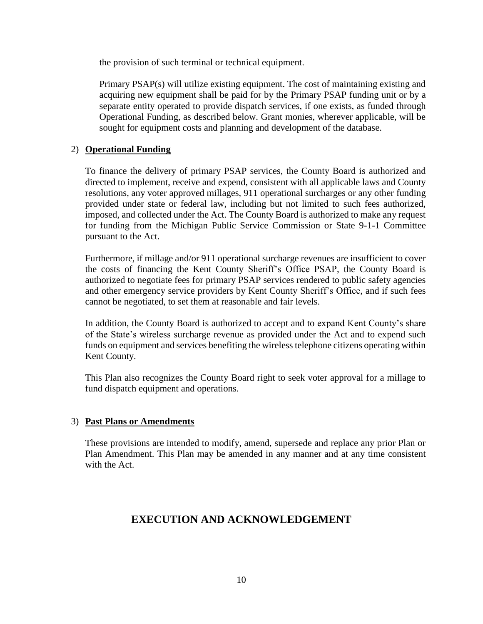the provision of such terminal or technical equipment.

Primary PSAP(s) will utilize existing equipment. The cost of maintaining existing and acquiring new equipment shall be paid for by the Primary PSAP funding unit or by a separate entity operated to provide dispatch services, if one exists, as funded through Operational Funding, as described below. Grant monies, wherever applicable, will be sought for equipment costs and planning and development of the database.

### 2) **Operational Funding**

To finance the delivery of primary PSAP services, the County Board is authorized and directed to implement, receive and expend, consistent with all applicable laws and County resolutions, any voter approved millages, 911 operational surcharges or any other funding provided under state or federal law, including but not limited to such fees authorized, imposed, and collected under the Act. The County Board is authorized to make any request for funding from the Michigan Public Service Commission or State 9-1-1 Committee pursuant to the Act.

Furthermore, if millage and/or 911 operational surcharge revenues are insufficient to cover the costs of financing the Kent County Sheriff's Office PSAP, the County Board is authorized to negotiate fees for primary PSAP services rendered to public safety agencies and other emergency service providers by Kent County Sheriff's Office, and if such fees cannot be negotiated, to set them at reasonable and fair levels.

In addition, the County Board is authorized to accept and to expand Kent County's share of the State's wireless surcharge revenue as provided under the Act and to expend such funds on equipment and services benefiting the wireless telephone citizens operating within Kent County.

This Plan also recognizes the County Board right to seek voter approval for a millage to fund dispatch equipment and operations.

### 3) **Past Plans or Amendments**

These provisions are intended to modify, amend, supersede and replace any prior Plan or Plan Amendment. This Plan may be amended in any manner and at any time consistent with the Act.

### <span id="page-9-0"></span>**EXECUTION AND ACKNOWLEDGEMENT**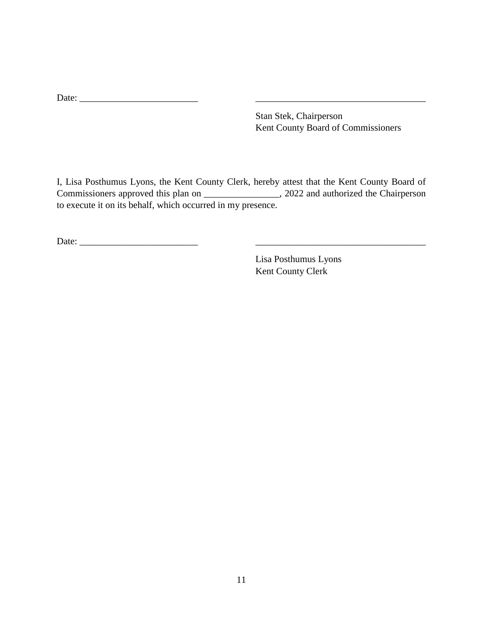Stan Stek, Chairperson Kent County Board of Commissioners

I, Lisa Posthumus Lyons, the Kent County Clerk, hereby attest that the Kent County Board of Commissioners approved this plan on \_\_\_\_\_\_\_\_\_\_\_\_\_\_\_\_, 2022 and authorized the Chairperson to execute it on its behalf, which occurred in my presence.

Date: \_\_\_\_\_\_\_\_\_\_\_\_\_\_\_\_\_\_\_\_\_\_\_\_\_ \_\_\_\_\_\_\_\_\_\_\_\_\_\_\_\_\_\_\_\_\_\_\_\_\_\_\_\_\_\_\_\_\_\_\_\_

Lisa Posthumus Lyons Kent County Clerk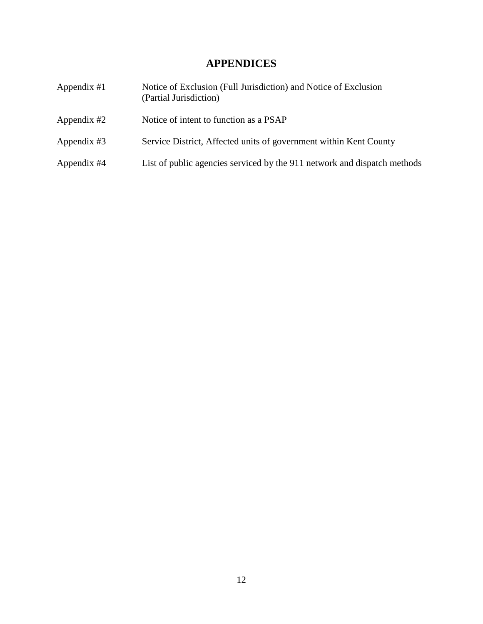### **APPENDICES**

<span id="page-11-0"></span>

| Appendix $#1$ | Notice of Exclusion (Full Jurisdiction) and Notice of Exclusion<br>(Partial Jurisdiction) |
|---------------|-------------------------------------------------------------------------------------------|
| Appendix $#2$ | Notice of intent to function as a PSAP                                                    |
| Appendix #3   | Service District, Affected units of government within Kent County                         |
| Appendix #4   | List of public agencies serviced by the 911 network and dispatch methods                  |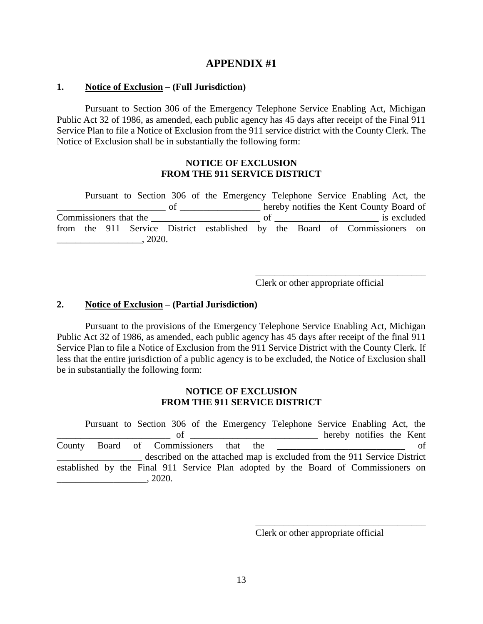#### <span id="page-12-0"></span>**1. Notice of Exclusion – (Full Jurisdiction)**

Pursuant to Section 306 of the Emergency Telephone Service Enabling Act, Michigan Public Act 32 of 1986, as amended, each public agency has 45 days after receipt of the Final 911 Service Plan to file a Notice of Exclusion from the 911 service district with the County Clerk. The Notice of Exclusion shall be in substantially the following form:

### **NOTICE OF EXCLUSION FROM THE 911 SERVICE DISTRICT**

Pursuant to Section 306 of the Emergency Telephone Service Enabling Act, the \_\_\_\_\_\_\_\_\_\_\_\_\_\_\_\_\_\_\_\_\_\_\_ of \_\_\_\_\_\_\_\_\_\_\_\_\_\_\_\_\_ hereby notifies the Kent County Board of Commissioners that the \_\_\_\_\_\_\_\_\_\_\_\_\_\_\_\_\_\_\_\_\_\_\_ of \_\_\_\_\_\_\_\_\_\_\_\_\_\_\_\_\_\_\_\_\_\_ is excluded from the 911 Service District established by the Board of Commissioners on  $, 2020.$ 

Clerk or other appropriate official

\_\_\_\_\_\_\_\_\_\_\_\_\_\_\_\_\_\_\_\_\_\_\_\_\_\_\_\_\_\_\_\_\_\_\_\_

### **2. Notice of Exclusion – (Partial Jurisdiction)**

Pursuant to the provisions of the Emergency Telephone Service Enabling Act, Michigan Public Act 32 of 1986, as amended, each public agency has 45 days after receipt of the final 911 Service Plan to file a Notice of Exclusion from the 911 Service District with the County Clerk. If less that the entire jurisdiction of a public agency is to be excluded, the Notice of Exclusion shall be in substantially the following form:

#### **NOTICE OF EXCLUSION FROM THE 911 SERVICE DISTRICT**

Pursuant to Section 306 of the Emergency Telephone Service Enabling Act, the \_\_\_\_\_\_\_\_\_\_\_\_\_\_\_\_\_\_\_\_\_\_\_\_ of \_\_\_\_\_\_\_\_\_\_\_\_\_\_\_\_\_\_\_\_\_\_\_\_\_\_\_ hereby notifies the Kent County Board of Commissioners that the \_\_\_\_\_\_\_\_\_\_\_\_\_\_\_\_\_\_\_\_\_\_\_\_\_\_\_ of described on the attached map is excluded from the 911 Service District established by the Final 911 Service Plan adopted by the Board of Commissioners on  $\frac{1}{2020}$ , 2020.

Clerk or other appropriate official

\_\_\_\_\_\_\_\_\_\_\_\_\_\_\_\_\_\_\_\_\_\_\_\_\_\_\_\_\_\_\_\_\_\_\_\_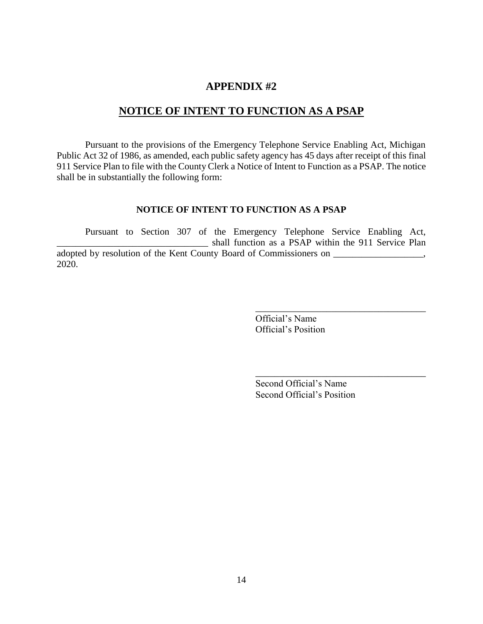### **NOTICE OF INTENT TO FUNCTION AS A PSAP**

<span id="page-13-0"></span>Pursuant to the provisions of the Emergency Telephone Service Enabling Act, Michigan Public Act 32 of 1986, as amended, each public safety agency has 45 days after receipt of this final 911 Service Plan to file with the County Clerk a Notice of Intent to Function as a PSAP. The notice shall be in substantially the following form:

### **NOTICE OF INTENT TO FUNCTION AS A PSAP**

Pursuant to Section 307 of the Emergency Telephone Service Enabling Act, \_\_\_\_\_\_\_\_\_\_\_\_\_\_\_\_\_\_\_\_\_\_\_\_\_\_\_\_\_\_\_\_ shall function as a PSAP within the 911 Service Plan adopted by resolution of the Kent County Board of Commissioners on \_\_\_\_\_\_\_\_\_\_\_\_\_\_\_\_\_\_\_, 2020.

> Official's Name Official's Position

Second Official's Name Second Official's Position

\_\_\_\_\_\_\_\_\_\_\_\_\_\_\_\_\_\_\_\_\_\_\_\_\_\_\_\_\_\_\_\_\_\_\_\_

\_\_\_\_\_\_\_\_\_\_\_\_\_\_\_\_\_\_\_\_\_\_\_\_\_\_\_\_\_\_\_\_\_\_\_\_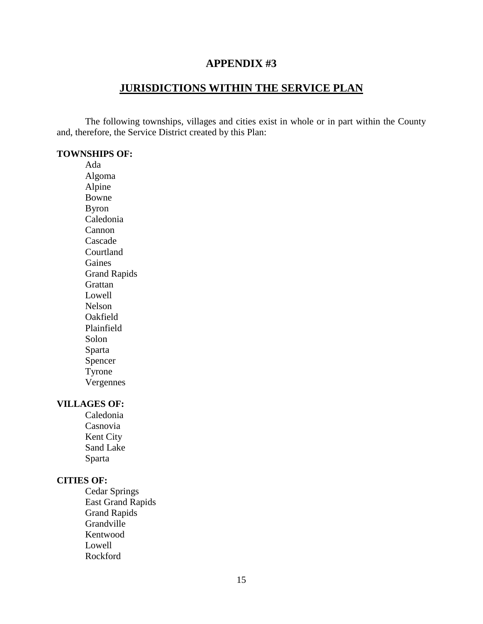### **JURISDICTIONS WITHIN THE SERVICE PLAN**

<span id="page-14-0"></span>The following townships, villages and cities exist in whole or in part within the County and, therefore, the Service District created by this Plan:

### **TOWNSHIPS OF:**

Ada Algoma Alpine Bowne Byron Caledonia Cannon Cascade Courtland Gaines Grand Rapids **Grattan** Lowell Nelson Oakfield Plainfield Solon Sparta Spencer Tyrone Vergennes

#### **VILLAGES OF:**

Caledonia Casnovia Kent City Sand Lake Sparta

### **CITIES OF:**

Cedar Springs East Grand Rapids Grand Rapids Grandville Kentwood Lowell Rockford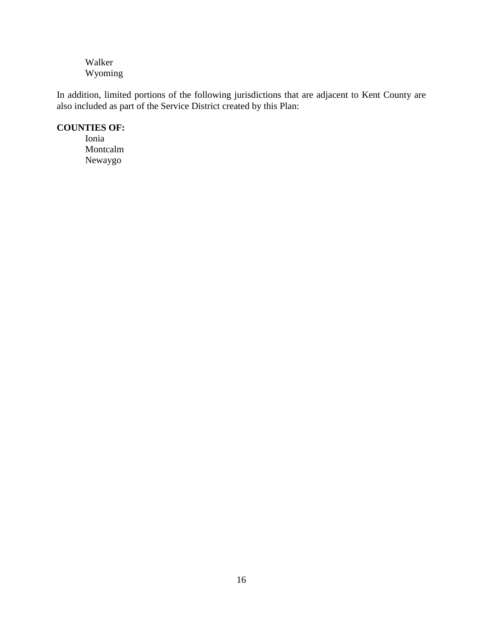Walker Wyoming

In addition, limited portions of the following jurisdictions that are adjacent to Kent County are also included as part of the Service District created by this Plan:

### **COUNTIES OF:**

Ionia Montcalm Newaygo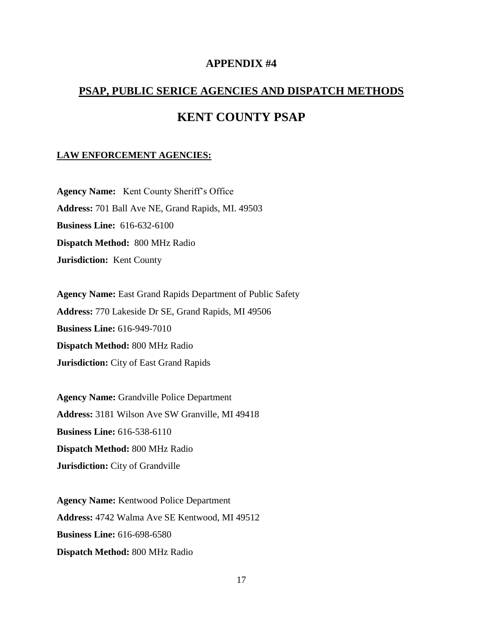# <span id="page-16-0"></span>**PSAP, PUBLIC SERICE AGENCIES AND DISPATCH METHODS KENT COUNTY PSAP**

#### **LAW ENFORCEMENT AGENCIES:**

**Agency Name:** Kent County Sheriff's Office **Address:** 701 Ball Ave NE, Grand Rapids, MI. 49503 **Business Line:** 616-632-6100 **Dispatch Method:** 800 MHz Radio **Jurisdiction:** Kent County

**Agency Name:** East Grand Rapids Department of Public Safety **Address:** 770 Lakeside Dr SE, Grand Rapids, MI 49506 **Business Line:** 616-949-7010 **Dispatch Method:** 800 MHz Radio **Jurisdiction:** City of East Grand Rapids

**Agency Name:** Grandville Police Department **Address:** 3181 Wilson Ave SW Granville, MI 49418 **Business Line:** 616-538-6110 **Dispatch Method:** 800 MHz Radio **Jurisdiction:** City of Grandville

**Agency Name:** Kentwood Police Department **Address:** 4742 Walma Ave SE Kentwood, MI 49512 **Business Line:** 616-698-6580 **Dispatch Method:** 800 MHz Radio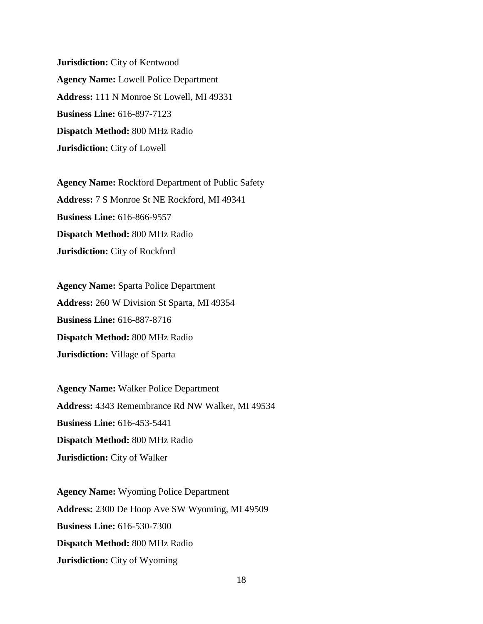**Jurisdiction:** City of Kentwood **Agency Name:** Lowell Police Department **Address:** 111 N Monroe St Lowell, MI 49331 **Business Line:** 616-897-7123 **Dispatch Method:** 800 MHz Radio **Jurisdiction:** City of Lowell

**Agency Name:** Rockford Department of Public Safety **Address:** 7 S Monroe St NE Rockford, MI 49341 **Business Line:** 616-866-9557 **Dispatch Method:** 800 MHz Radio **Jurisdiction:** City of Rockford

**Agency Name:** Sparta Police Department **Address:** 260 W Division St Sparta, MI 49354 **Business Line:** 616-887-8716 **Dispatch Method:** 800 MHz Radio **Jurisdiction:** Village of Sparta

**Agency Name:** Walker Police Department **Address:** 4343 Remembrance Rd NW Walker, MI 49534 **Business Line:** 616-453-5441 **Dispatch Method:** 800 MHz Radio **Jurisdiction:** City of Walker

**Agency Name:** Wyoming Police Department **Address:** 2300 De Hoop Ave SW Wyoming, MI 49509 **Business Line:** 616-530-7300 **Dispatch Method:** 800 MHz Radio **Jurisdiction:** City of Wyoming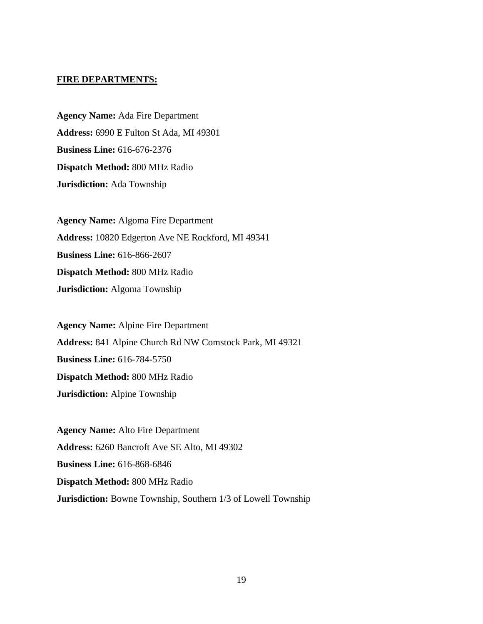#### **FIRE DEPARTMENTS:**

**Agency Name:** Ada Fire Department **Address:** 6990 E Fulton St Ada, MI 49301 **Business Line:** 616-676-2376 **Dispatch Method:** 800 MHz Radio **Jurisdiction:** Ada Township

**Agency Name:** Algoma Fire Department **Address:** 10820 Edgerton Ave NE Rockford, MI 49341 **Business Line:** 616-866-2607 **Dispatch Method:** 800 MHz Radio **Jurisdiction:** Algoma Township

**Agency Name:** Alpine Fire Department **Address:** 841 Alpine Church Rd NW Comstock Park, MI 49321 **Business Line:** 616-784-5750 **Dispatch Method:** 800 MHz Radio **Jurisdiction:** Alpine Township

**Agency Name:** Alto Fire Department **Address:** 6260 Bancroft Ave SE Alto, MI 49302 **Business Line:** 616-868-6846 **Dispatch Method:** 800 MHz Radio **Jurisdiction:** Bowne Township, Southern 1/3 of Lowell Township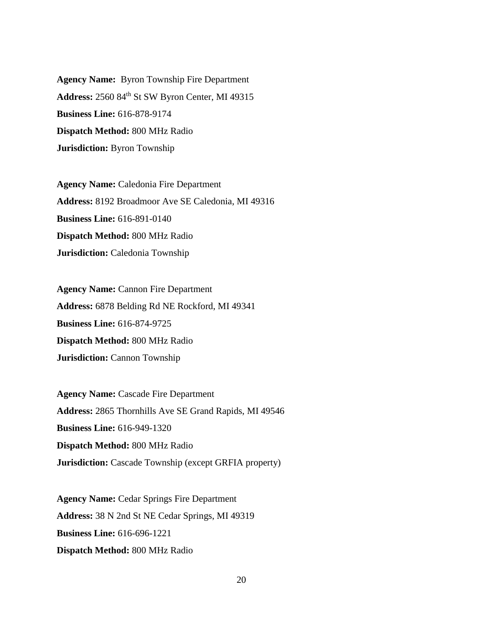**Agency Name:** Byron Township Fire Department **Address:** 2560 84th St SW Byron Center, MI 49315 **Business Line:** 616-878-9174 **Dispatch Method:** 800 MHz Radio **Jurisdiction:** Byron Township

**Agency Name:** Caledonia Fire Department **Address:** 8192 Broadmoor Ave SE Caledonia, MI 49316 **Business Line:** 616-891-0140 **Dispatch Method:** 800 MHz Radio **Jurisdiction:** Caledonia Township

**Agency Name: Cannon Fire Department Address:** 6878 Belding Rd NE Rockford, MI 49341 **Business Line:** 616-874-9725 **Dispatch Method:** 800 MHz Radio **Jurisdiction:** Cannon Township

**Agency Name:** Cascade Fire Department **Address:** 2865 Thornhills Ave SE Grand Rapids, MI 49546 **Business Line:** 616-949-1320 **Dispatch Method:** 800 MHz Radio **Jurisdiction:** Cascade Township (except GRFIA property)

**Agency Name:** Cedar Springs Fire Department **Address:** 38 N 2nd St NE Cedar Springs, MI 49319 **Business Line:** 616-696-1221 **Dispatch Method:** 800 MHz Radio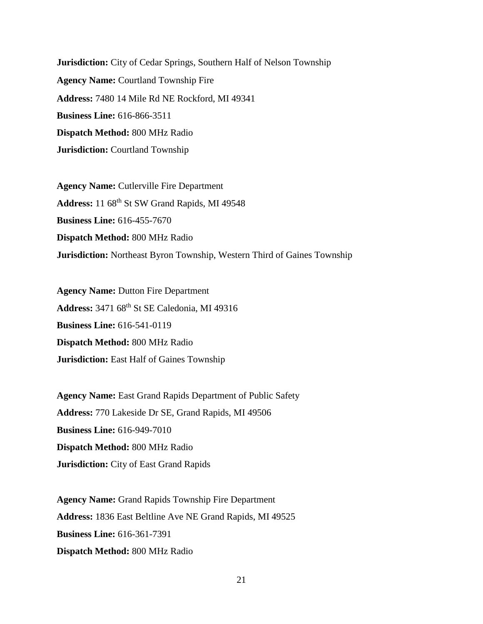**Jurisdiction:** City of Cedar Springs, Southern Half of Nelson Township **Agency Name:** Courtland Township Fire **Address:** 7480 14 Mile Rd NE Rockford, MI 49341 **Business Line:** 616-866-3511 **Dispatch Method:** 800 MHz Radio **Jurisdiction:** Courtland Township

**Agency Name:** Cutlerville Fire Department Address: 11 68<sup>th</sup> St SW Grand Rapids, MI 49548 **Business Line:** 616-455-7670 **Dispatch Method:** 800 MHz Radio **Jurisdiction:** Northeast Byron Township, Western Third of Gaines Township

**Agency Name: Dutton Fire Department Address:** 3471 68th St SE Caledonia, MI 49316 **Business Line:** 616-541-0119 **Dispatch Method:** 800 MHz Radio **Jurisdiction:** East Half of Gaines Township

**Agency Name:** East Grand Rapids Department of Public Safety **Address:** 770 Lakeside Dr SE, Grand Rapids, MI 49506 **Business Line:** 616-949-7010 **Dispatch Method:** 800 MHz Radio **Jurisdiction:** City of East Grand Rapids

**Agency Name:** Grand Rapids Township Fire Department **Address:** 1836 East Beltline Ave NE Grand Rapids, MI 49525 **Business Line:** 616-361-7391 **Dispatch Method:** 800 MHz Radio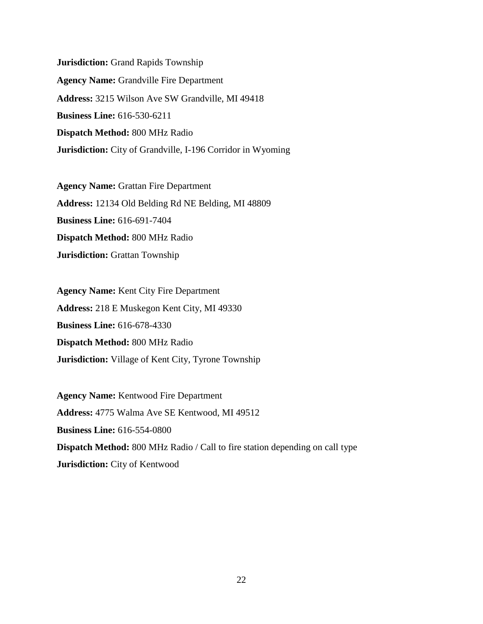**Jurisdiction:** Grand Rapids Township **Agency Name:** Grandville Fire Department **Address:** 3215 Wilson Ave SW Grandville, MI 49418 **Business Line:** 616-530-6211 **Dispatch Method:** 800 MHz Radio **Jurisdiction:** City of Grandville, I-196 Corridor in Wyoming

**Agency Name:** Grattan Fire Department **Address:** 12134 Old Belding Rd NE Belding, MI 48809 **Business Line:** 616-691-7404 **Dispatch Method:** 800 MHz Radio **Jurisdiction:** Grattan Township

**Agency Name:** Kent City Fire Department **Address:** 218 E Muskegon Kent City, MI 49330 **Business Line:** 616-678-4330 **Dispatch Method:** 800 MHz Radio **Jurisdiction:** Village of Kent City, Tyrone Township

**Agency Name:** Kentwood Fire Department **Address:** 4775 Walma Ave SE Kentwood, MI 49512 **Business Line:** 616-554-0800 **Dispatch Method:** 800 MHz Radio / Call to fire station depending on call type **Jurisdiction:** City of Kentwood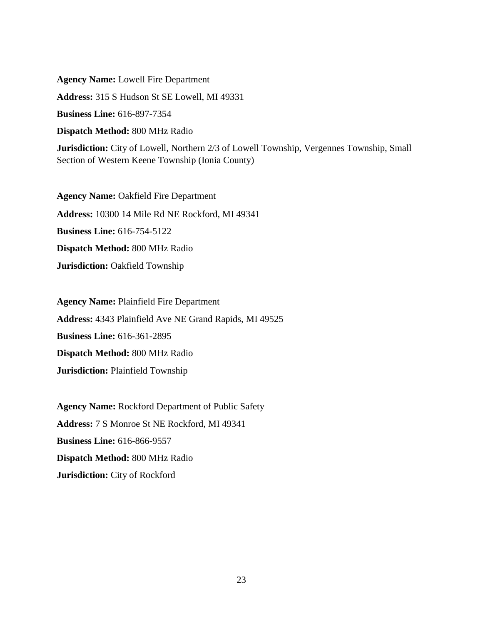**Agency Name:** Lowell Fire Department **Address:** 315 S Hudson St SE Lowell, MI 49331 **Business Line:** 616-897-7354 **Dispatch Method:** 800 MHz Radio **Jurisdiction:** City of Lowell, Northern 2/3 of Lowell Township, Vergennes Township, Small Section of Western Keene Township (Ionia County)

**Agency Name:** Oakfield Fire Department **Address:** 10300 14 Mile Rd NE Rockford, MI 49341 **Business Line:** 616-754-5122 **Dispatch Method:** 800 MHz Radio **Jurisdiction:** Oakfield Township

**Agency Name:** Plainfield Fire Department **Address:** 4343 Plainfield Ave NE Grand Rapids, MI 49525 **Business Line:** 616-361-2895 **Dispatch Method:** 800 MHz Radio **Jurisdiction:** Plainfield Township

**Agency Name:** Rockford Department of Public Safety **Address:** 7 S Monroe St NE Rockford, MI 49341 **Business Line:** 616-866-9557 **Dispatch Method:** 800 MHz Radio **Jurisdiction:** City of Rockford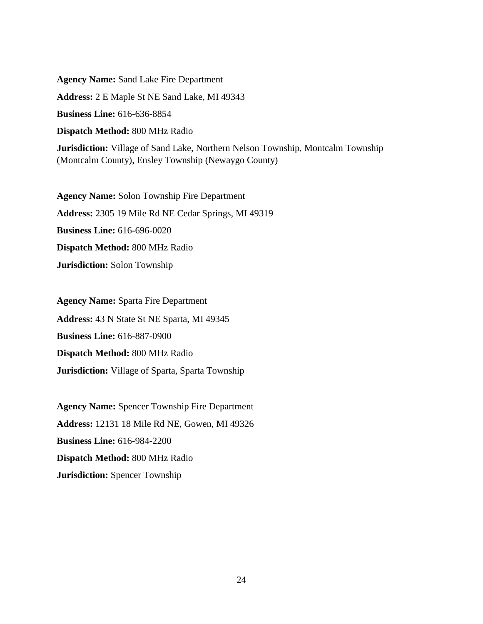**Agency Name:** Sand Lake Fire Department **Address:** 2 E Maple St NE Sand Lake, MI 49343 **Business Line:** 616-636-8854 **Dispatch Method:** 800 MHz Radio **Jurisdiction:** Village of Sand Lake, Northern Nelson Township, Montcalm Township (Montcalm County), Ensley Township (Newaygo County)

**Agency Name:** Solon Township Fire Department **Address:** 2305 19 Mile Rd NE Cedar Springs, MI 49319 **Business Line:** 616-696-0020 **Dispatch Method:** 800 MHz Radio **Jurisdiction:** Solon Township

**Agency Name:** Sparta Fire Department **Address:** 43 N State St NE Sparta, MI 49345 **Business Line:** 616-887-0900 **Dispatch Method:** 800 MHz Radio **Jurisdiction:** Village of Sparta, Sparta Township

**Agency Name:** Spencer Township Fire Department **Address:** 12131 18 Mile Rd NE, Gowen, MI 49326 **Business Line:** 616-984-2200 **Dispatch Method:** 800 MHz Radio **Jurisdiction:** Spencer Township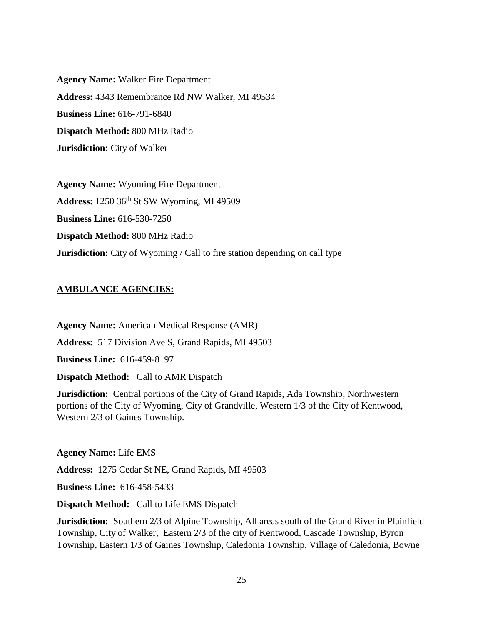**Agency Name:** Walker Fire Department **Address:** 4343 Remembrance Rd NW Walker, MI 49534 **Business Line:** 616-791-6840 **Dispatch Method:** 800 MHz Radio **Jurisdiction:** City of Walker

**Agency Name:** Wyoming Fire Department **Address:** 1250 36th St SW Wyoming, MI 49509 **Business Line:** 616-530-7250 **Dispatch Method:** 800 MHz Radio **Jurisdiction:** City of Wyoming / Call to fire station depending on call type

### **AMBULANCE AGENCIES:**

**Agency Name:** American Medical Response (AMR) **Address:** 517 Division Ave S, Grand Rapids, MI 49503 **Business Line:** 616-459-8197 **Dispatch Method:** Call to AMR Dispatch

**Jurisdiction:** Central portions of the City of Grand Rapids, Ada Township, Northwestern portions of the City of Wyoming, City of Grandville, Western 1/3 of the City of Kentwood, Western 2/3 of Gaines Township.

**Agency Name:** Life EMS

**Address:** 1275 Cedar St NE, Grand Rapids, MI 49503

**Business Line:** 616-458-5433

**Dispatch Method:** Call to Life EMS Dispatch

**Jurisdiction:** Southern 2/3 of Alpine Township, All areas south of the Grand River in Plainfield Township, City of Walker, Eastern 2/3 of the city of Kentwood, Cascade Township, Byron Township, Eastern 1/3 of Gaines Township, Caledonia Township, Village of Caledonia, Bowne